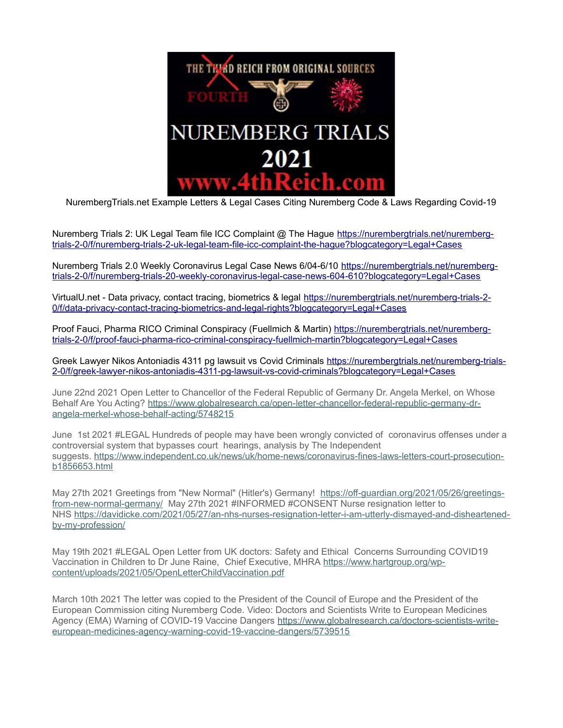

NurembergTrials.net Example Letters & Legal Cases Citing Nuremberg Code & Laws Regarding Covid-19

Nuremberg Trials 2: UK Legal Team file ICC Complaint @ The Hague [https://nurembergtrials.net/nuremberg](https://nurembergtrials.net/nuremberg-trials-2-0/f/nuremberg-trials-2-uk-legal-team-file-icc-complaint-the-hague?blogcategory=Legal+Cases)[trials-2-0/f/nuremberg-trials-2-uk-legal-team-file-icc-complaint-the-hague?blogcategory=Legal+Cases](https://nurembergtrials.net/nuremberg-trials-2-0/f/nuremberg-trials-2-uk-legal-team-file-icc-complaint-the-hague?blogcategory=Legal+Cases)

Nuremberg Trials 2.0 Weekly Coronavirus Legal Case News 6/04-6/10 [https://nurembergtrials.net/nuremberg](https://nurembergtrials.net/nuremberg-trials-2-0/f/nuremberg-trials-20-weekly-coronavirus-legal-case-news-604-610?blogcategory=Legal+Cases)[trials-2-0/f/nuremberg-trials-20-weekly-coronavirus-legal-case-news-604-610?blogcategory=Legal+Cases](https://nurembergtrials.net/nuremberg-trials-2-0/f/nuremberg-trials-20-weekly-coronavirus-legal-case-news-604-610?blogcategory=Legal+Cases)

VirtualU.net - Data privacy, contact tracing, biometrics & legal [https://nurembergtrials.net/nuremberg-trials-2-](https://nurembergtrials.net/nuremberg-trials-2-0/f/data-privacy-contact-tracing-biometrics-and-legal-rights?blogcategory=Legal+Cases) [0/f/data-privacy-contact-tracing-biometrics-and-legal-rights?blogcategory=Legal+Cases](https://nurembergtrials.net/nuremberg-trials-2-0/f/data-privacy-contact-tracing-biometrics-and-legal-rights?blogcategory=Legal+Cases)

Proof Fauci, Pharma RICO Criminal Conspiracy (Fuellmich & Martin) [https://nurembergtrials.net/nuremberg](https://nurembergtrials.net/nuremberg-trials-2-0/f/proof-fauci-pharma-rico-criminal-conspiracy-fuellmich-martin?blogcategory=Legal+Cases)[trials-2-0/f/proof-fauci-pharma-rico-criminal-conspiracy-fuellmich-martin?blogcategory=Legal+Cases](https://nurembergtrials.net/nuremberg-trials-2-0/f/proof-fauci-pharma-rico-criminal-conspiracy-fuellmich-martin?blogcategory=Legal+Cases)

Greek Lawyer Nikos Antoniadis 4311 pg lawsuit vs Covid Criminals [https://nurembergtrials.net/nuremberg-trials-](https://nurembergtrials.net/nuremberg-trials-2-0/f/greek-lawyer-nikos-antoniadis-4311-pg-lawsuit-vs-covid-criminals?blogcategory=Legal+Cases)[2-0/f/greek-lawyer-nikos-antoniadis-4311-pg-lawsuit-vs-covid-criminals?blogcategory=Legal+Cases](https://nurembergtrials.net/nuremberg-trials-2-0/f/greek-lawyer-nikos-antoniadis-4311-pg-lawsuit-vs-covid-criminals?blogcategory=Legal+Cases)

June 22nd 2021 Open Letter to Chancellor of the Federal Republic of Germany Dr. Angela Merkel, on Whose Behalf Are You Acting? [https://www.globalresearch.ca/open-letter-chancellor-federal-republic-germany-dr](https://www.globalresearch.ca/open-letter-chancellor-federal-republic-germany-dr-angela-merkel-whose-behalf-acting/5748215)[angela-merkel-whose-behalf-acting/5748215](https://www.globalresearch.ca/open-letter-chancellor-federal-republic-germany-dr-angela-merkel-whose-behalf-acting/5748215)

June 1st 2021 #LEGAL Hundreds of people may have been wrongly convicted of coronavirus offenses under a controversial system that bypasses court hearings, analysis by The Independent suggests. [https://www.independent.co.uk/news/uk/home-news/coronavirus-fines-laws-letters-court-prosecution](https://www.independent.co.uk/news/uk/home-news/coronavirus-fines-laws-letters-court-prosecution-b1856653.html)[b1856653.html](https://www.independent.co.uk/news/uk/home-news/coronavirus-fines-laws-letters-court-prosecution-b1856653.html)

May 27th 2021 Greetings from "New Normal" (Hitler's) Germany! [https://off-guardian.org/2021/05/26/greetings](https://off-guardian.org/2021/05/26/greetings-from-new-normal-germany/)[from-new-normal-germany/](https://off-guardian.org/2021/05/26/greetings-from-new-normal-germany/) May 27th 2021 #INFORMED #CONSENT Nurse resignation letter to NHS [https://davidicke.com/2021/05/27/an-nhs-nurses-resignation-letter-i-am-utterly-dismayed-and-disheartened](https://davidicke.com/2021/05/27/an-nhs-nurses-resignation-letter-i-am-utterly-dismayed-and-disheartened-by-my-profession/)[by-my-profession/](https://davidicke.com/2021/05/27/an-nhs-nurses-resignation-letter-i-am-utterly-dismayed-and-disheartened-by-my-profession/)

May 19th 2021 #LEGAL Open Letter from UK doctors: Safety and Ethical Concerns Surrounding COVID19 Vaccination in Children to Dr June Raine, Chief Executive, MHRA [https://www.hartgroup.org/wp](https://www.hartgroup.org/wp-content/uploads/2021/05/OpenLetterChildVaccination.pdf)[content/uploads/2021/05/OpenLetterChildVaccination.pdf](https://www.hartgroup.org/wp-content/uploads/2021/05/OpenLetterChildVaccination.pdf)

March 10th 2021 The letter was copied to the President of the Council of Europe and the President of the European Commission citing Nuremberg Code. Video: Doctors and Scientists Write to European Medicines Agency (EMA) Warning of COVID-19 Vaccine Dangers [https://www.globalresearch.ca/doctors-scientists-write](https://www.globalresearch.ca/doctors-scientists-write-european-medicines-agency-warning-covid-19-vaccine-dangers/5739515)[european-medicines-agency-warning-covid-19-vaccine-dangers/5739515](https://www.globalresearch.ca/doctors-scientists-write-european-medicines-agency-warning-covid-19-vaccine-dangers/5739515)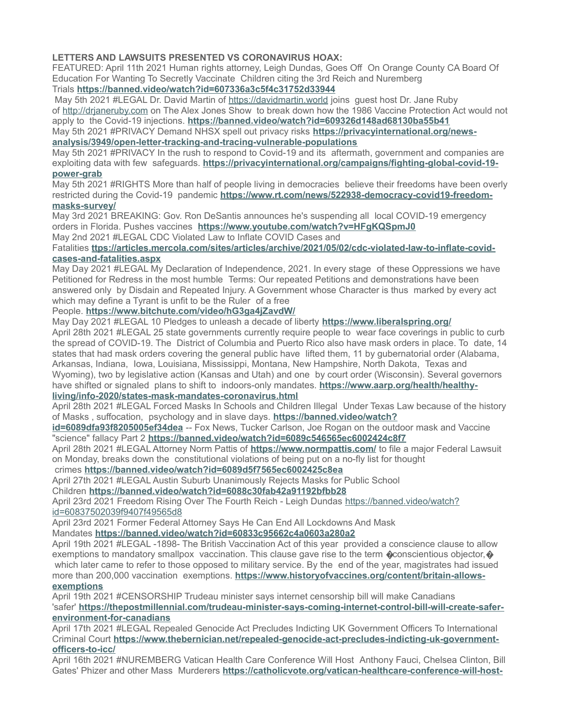## **LETTERS AND LAWSUITS PRESENTED VS CORONAVIRUS HOAX:**

FEATURED: April 11th 2021 Human rights attorney, Leigh Dundas, Goes Off On Orange County CA Board Of Education For Wanting To Secretly Vaccinate Children citing the 3rd Reich and Nuremberg Trials **<https://banned.video/watch?id=607336a3c5f4c31752d33944>**

May 5th 2021 #LEGAL Dr. David Martin of [https://davidmartin.world](https://davidmartin.world/) joins guest host Dr. Jane Ruby of [http://drjaneruby.com](http://drjaneruby.com/) on The Alex Jones Show to break down how the 1986 Vaccine Protection Act would not apply to the Covid-19 injections. **<https://banned.video/watch?id=609326d148ad68130ba55b41>**

May 5th 2021 #PRIVACY Demand NHSX spell out privacy risks **[https://privacyinternational.org/news](https://privacyinternational.org/news-analysis/3949/open-letter-tracking-and-tracing-vulnerable-populations)[analysis/3949/open-letter-tracking-and-tracing-vulnerable-populations](https://privacyinternational.org/news-analysis/3949/open-letter-tracking-and-tracing-vulnerable-populations)**

May 5th 2021 #PRIVACY In the rush to respond to Covid-19 and its aftermath, government and companies are exploiting data with few safeguards. **[https://privacyinternational.org/campaigns/fighting-global-covid-19-](https://privacyinternational.org/campaigns/fighting-global-covid-19-power-grab)**

### **[power-grab](https://privacyinternational.org/campaigns/fighting-global-covid-19-power-grab)**

May 5th 2021 #RIGHTS More than half of people living in democracies believe their freedoms have been overly restricted during the Covid-19 pandemic **[https://www.rt.com/news/522938-democracy-covid19-freedom-](https://www.rt.com/news/522938-democracy-covid19-freedom-masks-survey/)**

## **[masks-survey/](https://www.rt.com/news/522938-democracy-covid19-freedom-masks-survey/)**

May 3rd 2021 BREAKING: Gov. Ron DeSantis announces he's suspending all local COVID-19 emergency orders in Florida. Pushes vaccines **[https://www.youtube.com/watch?v=HFgKQSpmJ0](https://www.youtube.com/watch?v=HFgKQSpmJ0Y)**

May 2nd 2021 #LEGAL CDC Violated Law to Inflate COVID Cases and

### Fatalities **[ttps://articles.mercola.com/sites/articles/archive/2021/05/02/cdc-violated-law-to-inflate-covid](https://articles.mercola.com/sites/articles/archive/2021/05/02/cdc-violated-law-to-inflate-covid-cases-and-fatalities.aspx)[cases-and-fatalities.aspx](https://articles.mercola.com/sites/articles/archive/2021/05/02/cdc-violated-law-to-inflate-covid-cases-and-fatalities.aspx)**

May Day 2021 #LEGAL My Declaration of Independence, 2021. In every stage of these Oppressions we have Petitioned for Redress in the most humble Terms: Our repeated Petitions and demonstrations have been answered only by Disdain and Repeated Injury. A Government whose Character is thus marked by every act which may define a Tyrant is unfit to be the Ruler of a free

People. **<https://www.bitchute.com/video/hG3ga4jZavdW/>**

May Day 2021 #LEGAL 10 Pledges to unleash a decade of liberty **<https://www.liberalspring.org/>**

April 28th 2021 #LEGAL 25 state governments currently require people to wear face coverings in public to curb the spread of COVID-19. The District of Columbia and Puerto Rico also have mask orders in place. To date, 14 states that had mask orders covering the general public have lifted them, 11 by gubernatorial order (Alabama, Arkansas, Indiana, Iowa, Louisiana, Mississippi, Montana, New Hampshire, North Dakota, Texas and

Wyoming), two by legislative action (Kansas and Utah) and one by court order (Wisconsin). Several governors have shifted or signaled plans to shift to indoors-only mandates. **[https://www.aarp.org/health/healthy](https://www.aarp.org/health/healthy-living/info-2020/states-mask-mandates-coronavirus.html)[living/info-2020/states-mask-mandates-coronavirus.html](https://www.aarp.org/health/healthy-living/info-2020/states-mask-mandates-coronavirus.html)**

April 28th 2021 #LEGAL Forced Masks In Schools and Children Illegal Under Texas Law because of the history of Masks , suffocation, psychology and in slave days. **[https://banned.video/watch?](https://banned.video/watch?id=6089dfa93f8205005ef34dea)**

**[id=6089dfa93f8205005ef34dea](https://banned.video/watch?id=6089dfa93f8205005ef34dea)** -- Fox News, Tucker Carlson, Joe Rogan on the outdoor mask and Vaccine "science" fallacy Part 2 **<https://banned.video/watch?id=6089c546565ec6002424c8f7>**

April 28th 2021 #LEGAL Attorney Norm Pattis of **<https://www.normpattis.com/>** to file a major Federal Lawsuit on Monday, breaks down the constitutional violations of being put on a no-fly list for thought

# crimes **<https://banned.video/watch?id=6089d5f7565ec6002425c8ea>**

April 27th 2021 #LEGAL Austin Suburb Unanimously Rejects Masks for Public School

Children **<https://banned.video/watch?id=6088c30fab42a91192bfbb28>**

April 23rd 2021 Freedom Rising Over The Fourth Reich - Leigh Dundas [https://banned.video/watch?](https://banned.video/watch?id=60837502039f9407f49565d8) [id=60837502039f9407f49565d8](https://banned.video/watch?id=60837502039f9407f49565d8)

April 23rd 2021 Former Federal Attorney Says He Can End All Lockdowns And Mask

Mandates **<https://banned.video/watch?id=60833c95662c4a0603a280a2>**

April 19th 2021 #LEGAL -1898- The British Vaccination Act of this year provided a conscience clause to allow exemptions to mandatory smallpox vaccination. This clause gave rise to the term  $\phi$  conscientious objector,  $\phi$ which later came to refer to those opposed to military service. By the end of the year, magistrates had issued more than 200,000 vaccination exemptions. **[https://www.historyofvaccines.org/content/britain-allows-](https://www.historyofvaccines.org/content/britain-allows-exemptions)**

### **[exemptions](https://www.historyofvaccines.org/content/britain-allows-exemptions)**

April 19th 2021 #CENSORSHIP Trudeau minister says internet censorship bill will make Canadians 'safer' **[https://thepostmillennial.com/trudeau-minister-says-coming-internet-control-bill-will-create-safer](https://thepostmillennial.com/trudeau-minister-says-coming-internet-control-bill-will-create-safer-environment-for-canadians)[environment-for-canadians](https://thepostmillennial.com/trudeau-minister-says-coming-internet-control-bill-will-create-safer-environment-for-canadians)**

April 17th 2021 #LEGAL Repealed Genocide Act Precludes Indicting UK Government Officers To International Criminal Court **[https://www.thebernician.net/repealed-genocide-act-precludes-indicting-uk-government](https://www.thebernician.net/repealed-genocide-act-precludes-indicting-uk-government-officers-to-icc/)[officers-to-icc/](https://www.thebernician.net/repealed-genocide-act-precludes-indicting-uk-government-officers-to-icc/)**

April 16th 2021 #NUREMBERG Vatican Health Care Conference Will Host Anthony Fauci, Chelsea Clinton, Bill Gates' Phizer and other Mass Murderers **[https://catholicvote.org/vatican-healthcare-conference-will-host-](https://catholicvote.org/vatican-healthcare-conference-will-host-anthony-fauci-chelsea-clinton/)**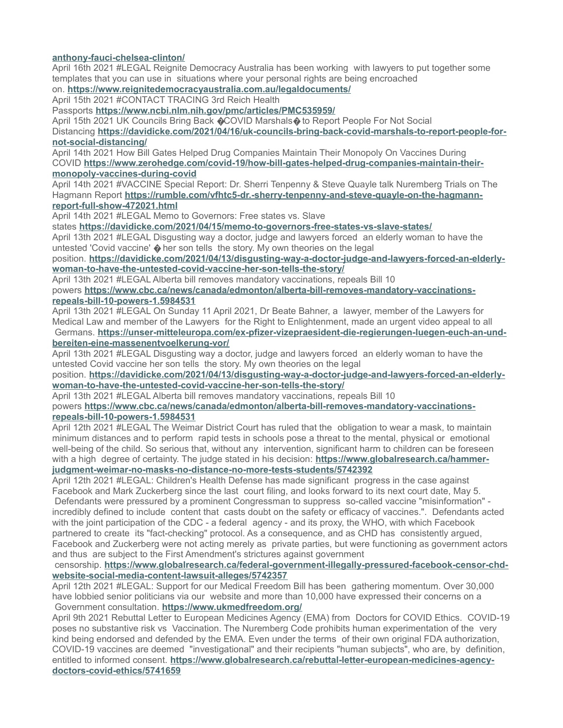## **[anthony-fauci-chelsea-clinton/](https://catholicvote.org/vatican-healthcare-conference-will-host-anthony-fauci-chelsea-clinton/)**

April 16th 2021 #LEGAL Reignite Democracy Australia has been working with lawyers to put together some templates that you can use in situations where your personal rights are being encroached

# on. **<https://www.reignitedemocracyaustralia.com.au/legaldocuments/>**

April 15th 2021 #CONTACT TRACING 3rd Reich Health

Passports **<https://www.ncbi.nlm.nih.gov/pmc/articles/PMC535959/>**

April 15th 2021 UK Councils Bring Back  $\bigcirc$ COVID Marshals $\bigcirc$  to Report People For Not Social

Distancing **[https://davidicke.com/2021/04/16/uk-councils-bring-back-covid-marshals-to-report-people-for](https://davidicke.com/2021/04/16/uk-councils-bring-back-covid-marshals-to-report-people-for-not-social-distancing/)[not-social-distancing/](https://davidicke.com/2021/04/16/uk-councils-bring-back-covid-marshals-to-report-people-for-not-social-distancing/)**

April 14th 2021 How Bill Gates Helped Drug Companies Maintain Their Monopoly On Vaccines During COVID **[https://www.zerohedge.com/covid-19/how-bill-gates-helped-drug-companies-maintain-their-](https://www.zerohedge.com/covid-19/how-bill-gates-helped-drug-companies-maintain-their-monopoly-vaccines-during-covid)**

### **[monopoly-vaccines-during-covid](https://www.zerohedge.com/covid-19/how-bill-gates-helped-drug-companies-maintain-their-monopoly-vaccines-during-covid)**

April 14th 2021 #VACCINE Special Report: Dr. Sherri Tenpenny & Steve Quayle talk Nuremberg Trials on The Hagmann Report **[https://rumble.com/vfhtc5-dr.-sherry-tenpenny-and-steve-quayle-on-the-hagmann-](https://rumble.com/vfhtc5-dr.-sherry-tenpenny-and-steve-quayle-on-the-hagmann-report-full-show-472021.html)**

## **[report-full-show-472021.html](https://rumble.com/vfhtc5-dr.-sherry-tenpenny-and-steve-quayle-on-the-hagmann-report-full-show-472021.html)**

April 14th 2021 #LEGAL Memo to Governors: Free states vs. Slave

states **<https://davidicke.com/2021/04/15/memo-to-governors-free-states-vs-slave-states/>**

April 13th 2021 #LEGAL Disgusting way a doctor, judge and lawyers forced an elderly woman to have the untested 'Covid vaccine'  $\diamondsuit$  her son tells the story. My own theories on the legal

position. **[https://davidicke.com/2021/04/13/disgusting-way-a-doctor-judge-and-lawyers-forced-an-elderly](https://davidicke.com/2021/04/13/disgusting-way-a-doctor-judge-and-lawyers-forced-an-elderly-woman-to-have-the-untested-covid-vaccine-her-son-tells-the-story/)[woman-to-have-the-untested-covid-vaccine-her-son-tells-the-story/](https://davidicke.com/2021/04/13/disgusting-way-a-doctor-judge-and-lawyers-forced-an-elderly-woman-to-have-the-untested-covid-vaccine-her-son-tells-the-story/)**

April 13th 2021 #LEGAL Alberta bill removes mandatory vaccinations, repeals Bill 10 powers **[https://www.cbc.ca/news/canada/edmonton/alberta-bill-removes-mandatory-vaccinations](https://www.cbc.ca/news/canada/edmonton/alberta-bill-removes-mandatory-vaccinations-repeals-bill-10-powers-1.5984531)[repeals-bill-10-powers-1.5984531](https://www.cbc.ca/news/canada/edmonton/alberta-bill-removes-mandatory-vaccinations-repeals-bill-10-powers-1.5984531)**

April 13th 2021 #LEGAL On Sunday 11 April 2021, Dr Beate Bahner, a lawyer, member of the Lawyers for

Medical Law and member of the Lawyers for the Right to Enlightenment, made an urgent video appeal to all Germans. **[https://unser-mitteleuropa.com/ex-pfizer-vizepraesident-die-regierungen-luegen-euch-an-und](https://unser-mitteleuropa.com/ex-pfizer-vizepraesident-die-regierungen-luegen-euch-an-und-bereiten-eine-massenentvoelkerung-vor/)[bereiten-eine-massenentvoelkerung-vor/](https://unser-mitteleuropa.com/ex-pfizer-vizepraesident-die-regierungen-luegen-euch-an-und-bereiten-eine-massenentvoelkerung-vor/)**

April 13th 2021 #LEGAL Disgusting way a doctor, judge and lawyers forced an elderly woman to have the untested Covid vaccine her son tells the story. My own theories on the legal

position. **[https://davidicke.com/2021/04/13/disgusting-way-a-doctor-judge-and-lawyers-forced-an-elderly](https://davidicke.com/2021/04/13/disgusting-way-a-doctor-judge-and-lawyers-forced-an-elderly-woman-to-have-the-untested-covid-vaccine-her-son-tells-the-story/)[woman-to-have-the-untested-covid-vaccine-her-son-tells-the-story/](https://davidicke.com/2021/04/13/disgusting-way-a-doctor-judge-and-lawyers-forced-an-elderly-woman-to-have-the-untested-covid-vaccine-her-son-tells-the-story/)**

April 13th 2021 #LEGAL Alberta bill removes mandatory vaccinations, repeals Bill 10

#### powers **[https://www.cbc.ca/news/canada/edmonton/alberta-bill-removes-mandatory-vaccinations](https://www.cbc.ca/news/canada/edmonton/alberta-bill-removes-mandatory-vaccinations-repeals-bill-10-powers-1.5984531)[repeals-bill-10-powers-1.5984531](https://www.cbc.ca/news/canada/edmonton/alberta-bill-removes-mandatory-vaccinations-repeals-bill-10-powers-1.5984531)**

April 12th 2021 #LEGAL The Weimar District Court has ruled that the obligation to wear a mask, to maintain minimum distances and to perform rapid tests in schools pose a threat to the mental, physical or emotional well-being of the child. So serious that, without any intervention, significant harm to children can be foreseen with a high degree of certainty. The judge stated in his decision: **[https://www.globalresearch.ca/hammer](https://www.globalresearch.ca/hammer-judgment-weimar-no-masks-no-distance-no-more-tests-students/5742392)[judgment-weimar-no-masks-no-distance-no-more-tests-students/5742392](https://www.globalresearch.ca/hammer-judgment-weimar-no-masks-no-distance-no-more-tests-students/5742392)**

April 12th 2021 #LEGAL: Children's Health Defense has made significant progress in the case against Facebook and Mark Zuckerberg since the last court filing, and looks forward to its next court date, May 5. Defendants were pressured by a prominent Congressman to suppress so-called vaccine "misinformation" incredibly defined to include content that casts doubt on the safety or efficacy of vaccines.". Defendants acted with the joint participation of the CDC - a federal agency - and its proxy, the WHO, with which Facebook partnered to create its "fact-checking" protocol. As a consequence, and as CHD has consistently argued, Facebook and Zuckerberg were not acting merely as private parties, but were functioning as government actors and thus are subject to the First Amendment's strictures against government

censorship. **[https://www.globalresearch.ca/federal-government-illegally-pressured-facebook-censor-chd](https://www.globalresearch.ca/federal-government-illegally-pressured-facebook-censor-chd-website-social-media-content-lawsuit-alleges/5742357)[website-social-media-content-lawsuit-alleges/5742357](https://www.globalresearch.ca/federal-government-illegally-pressured-facebook-censor-chd-website-social-media-content-lawsuit-alleges/5742357)**

April 12th 2021 #LEGAL: Support for our Medical Freedom Bill has been gathering momentum. Over 30,000 have lobbied senior politicians via our website and more than 10,000 have expressed their concerns on a Government consultation. **<https://www.ukmedfreedom.org/>**

April 9th 2021 Rebuttal Letter to European Medicines Agency (EMA) from Doctors for COVID Ethics. COVID-19 poses no substantive risk vs Vaccination. The Nuremberg Code prohibits human experimentation of the very kind being endorsed and defended by the EMA. Even under the terms of their own original FDA authorization, COVID-19 vaccines are deemed "investigational" and their recipients "human subjects", who are, by definition, entitled to informed consent. **[https://www.globalresearch.ca/rebuttal-letter-european-medicines-agency](https://www.globalresearch.ca/rebuttal-letter-european-medicines-agency-doctors-covid-ethics/5741659)[doctors-covid-ethics/5741659](https://www.globalresearch.ca/rebuttal-letter-european-medicines-agency-doctors-covid-ethics/5741659)**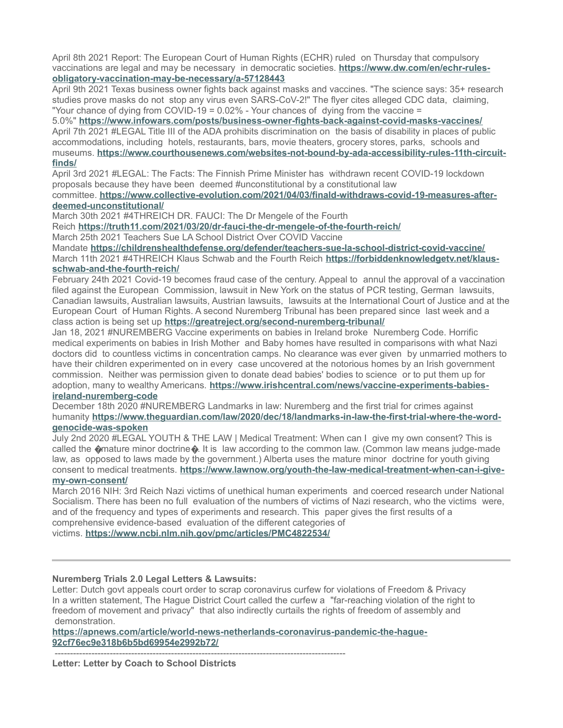April 8th 2021 Report: The European Court of Human Rights (ECHR) ruled on Thursday that compulsory vaccinations are legal and may be necessary in democratic societies. **[https://www.dw.com/en/echr-rules](https://www.dw.com/en/echr-rules-obligatory-vaccination-may-be-necessary/a-57128443)[obligatory-vaccination-may-be-necessary/a-57128443](https://www.dw.com/en/echr-rules-obligatory-vaccination-may-be-necessary/a-57128443)**

April 9th 2021 Texas business owner fights back against masks and vaccines. "The science says: 35+ research studies prove masks do not stop any virus even SARS-CoV-2!" The flyer cites alleged CDC data, claiming, "Your chance of dying from COVID-19 =  $0.02\%$  - Your chances of dying from the vaccine =

5.0%" **<https://www.infowars.com/posts/business-owner-fights-back-against-covid-masks-vaccines/>** April 7th 2021 #LEGAL Title III of the ADA prohibits discrimination on the basis of disability in places of public accommodations, including hotels, restaurants, bars, movie theaters, grocery stores, parks, schools and museums. **[https://www.courthousenews.com/websites-not-bound-by-ada-accessibility-rules-11th-circuit](https://www.courthousenews.com/websites-not-bound-by-ada-accessibility-rules-11th-circuit-finds/)[finds/](https://www.courthousenews.com/websites-not-bound-by-ada-accessibility-rules-11th-circuit-finds/)**

April 3rd 2021 #LEGAL: The Facts: The Finnish Prime Minister has withdrawn recent COVID-19 lockdown proposals because they have been deemed #unconstitutional by a constitutional law

#### committee. **[https://www.collective-evolution.com/2021/04/03/finald-withdraws-covid-19-measures-after](https://www.collective-evolution.com/2021/04/03/finald-withdraws-covid-19-measures-after-deemed-unconstitutional/)[deemed-unconstitutional/](https://www.collective-evolution.com/2021/04/03/finald-withdraws-covid-19-measures-after-deemed-unconstitutional/)**

March 30th 2021 #4THREICH DR. FAUCI: The Dr Mengele of the Fourth

Reich **<https://truth11.com/2021/03/20/dr-fauci-the-dr-mengele-of-the-fourth-reich/>**

March 25th 2021 Teachers Sue LA School District Over COVID Vaccine

Mandate **<https://childrenshealthdefense.org/defender/teachers-sue-la-school-district-covid-vaccine/>** March 11th 2021 #4THREICH Klaus Schwab and the Fourth Reich **[https://forbiddenknowledgetv.net/klaus-](https://forbiddenknowledgetv.net/klaus-schwab-and-the-fourth-reich/)**

## **[schwab-and-the-fourth-reich/](https://forbiddenknowledgetv.net/klaus-schwab-and-the-fourth-reich/)**

February 24th 2021 Covid-19 becomes fraud case of the century. Appeal to annul the approval of a vaccination filed against the European Commission, lawsuit in New York on the status of PCR testing, German lawsuits, Canadian lawsuits, Australian lawsuits, Austrian lawsuits, lawsuits at the International Court of Justice and at the European Court of Human Rights. A second Nuremberg Tribunal has been prepared since last week and a class action is being set up **<https://greatreject.org/second-nuremberg-tribunal/>**

Jan 18, 2021 #NUREMBERG Vaccine experiments on babies in Ireland broke Nuremberg Code. Horrific medical experiments on babies in Irish Mother and Baby homes have resulted in comparisons with what Nazi doctors did to countless victims in concentration camps. No clearance was ever given by unmarried mothers to have their children experimented on in every case uncovered at the notorious homes by an Irish government commission. Neither was permission given to donate dead babies' bodies to science or to put them up for adoption, many to wealthy Americans. **[https://www.irishcentral.com/news/vaccine-experiments-babies](https://www.irishcentral.com/news/vaccine-experiments-babies-ireland-nuremberg-code)[ireland-nuremberg-code](https://www.irishcentral.com/news/vaccine-experiments-babies-ireland-nuremberg-code)**

December 18th 2020 #NUREMBERG Landmarks in law: Nuremberg and the first trial for crimes against humanity **[https://www.theguardian.com/law/2020/dec/18/landmarks-in-law-the-first-trial-where-the-word](https://www.theguardian.com/law/2020/dec/18/landmarks-in-law-the-first-trial-where-the-word-genocide-was-spoken)[genocide-was-spoken](https://www.theguardian.com/law/2020/dec/18/landmarks-in-law-the-first-trial-where-the-word-genocide-was-spoken)**

#### July 2nd 2020 #LEGAL YOUTH & THE LAW | Medical Treatment: When can I give my own consent? This is called the  $\phi$  mature minor doctrine  $\phi$ . It is law according to the common law. (Common law means judge-made law, as opposed to laws made by the government.) Alberta uses the mature minor doctrine for youth giving consent to medical treatments. **[https://www.lawnow.org/youth-the-law-medical-treatment-when-can-i-give](https://www.lawnow.org/youth-the-law-medical-treatment-when-can-i-give-my-own-consent/)[my-own-consent/](https://www.lawnow.org/youth-the-law-medical-treatment-when-can-i-give-my-own-consent/)**

#### March 2016 NIH: 3rd Reich Nazi victims of unethical human experiments and coerced research under National Socialism. There has been no full evaluation of the numbers of victims of Nazi research, who the victims were, and of the frequency and types of experiments and research. This paper gives the first results of a comprehensive evidence-based evaluation of the different categories of victims. **<https://www.ncbi.nlm.nih.gov/pmc/articles/PMC4822534/>**

**Nuremberg Trials 2.0 Legal Letters & Lawsuits:**

Letter: Dutch govt appeals court order to scrap coronavirus curfew for violations of Freedom & Privacy In a written statement, The Hague District Court called the curfew a "far-reaching violation of the right to freedom of movement and privacy" that also indirectly curtails the rights of freedom of assembly and demonstration.

**[https://apnews.com/article/world-news-netherlands-coronavirus-pandemic-the-hague-](https://apnews.com/article/world-news-netherlands-coronavirus-pandemic-the-hague-92cf76ec9e318b6b5bd69954e2992b72)[92cf76ec9e318b6b5bd69954e2992b72/](https://apnews.com/article/world-news-netherlands-coronavirus-pandemic-the-hague-92cf76ec9e318b6b5bd69954e2992b72)**

----------------------------------------------------------------------------------------------- **Letter: Letter by Coach to School Districts**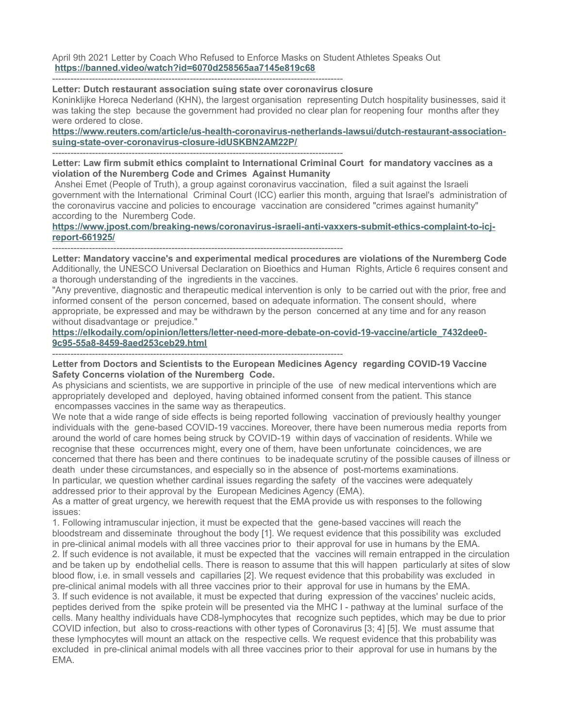April 9th 2021 Letter by Coach Who Refused to Enforce Masks on Student Athletes Speaks Out **<https://banned.video/watch?id=6070d258565aa7145e819c68>**

#### **Letter: Dutch restaurant association suing state over coronavirus closure**

Koninklijke Horeca Nederland (KHN), the largest organisation representing Dutch hospitality businesses, said it was taking the step because the government had provided no clear plan for reopening four months after they were ordered to close.

**[https://www.reuters.com/article/us-health-coronavirus-netherlands-lawsui/dutch-restaurant-association](https://www.reuters.com/article/us-health-coronavirus-netherlands-lawsui/dutch-restaurant-association-suing-state-over-coronavirus-closure-idUSKBN2AM22P)[suing-state-over-coronavirus-closure-idUSKBN2AM22P/](https://www.reuters.com/article/us-health-coronavirus-netherlands-lawsui/dutch-restaurant-association-suing-state-over-coronavirus-closure-idUSKBN2AM22P)**

-----------------------------------------------------------------------------------------------

-----------------------------------------------------------------------------------------------

#### **Letter: Law firm submit ethics complaint to International Criminal Court for mandatory vaccines as a violation of the Nuremberg Code and Crimes Against Humanity**

Anshei Emet (People of Truth), a group against coronavirus vaccination, filed a suit against the Israeli government with the International Criminal Court (ICC) earlier this month, arguing that Israel's administration of the coronavirus vaccine and policies to encourage vaccination are considered "crimes against humanity" according to the Nuremberg Code.

#### **[https://www.jpost.com/breaking-news/coronavirus-israeli-anti-vaxxers-submit-ethics-complaint-to-icj](https://www.jpost.com/breaking-news/coronavirus-israeli-anti-vaxxers-submit-ethics-complaint-to-icj-report-661925)[report-661925/](https://www.jpost.com/breaking-news/coronavirus-israeli-anti-vaxxers-submit-ethics-complaint-to-icj-report-661925)**

-----------------------------------------------------------------------------------------------

**Letter: Mandatory vaccine's and experimental medical procedures are violations of the Nuremberg Code** Additionally, the UNESCO Universal Declaration on Bioethics and Human Rights, Article 6 requires consent and a thorough understanding of the ingredients in the vaccines.

"Any preventive, diagnostic and therapeutic medical intervention is only to be carried out with the prior, free and informed consent of the person concerned, based on adequate information. The consent should, where appropriate, be expressed and may be withdrawn by the person concerned at any time and for any reason without disadvantage or prejudice."

## **[https://elkodaily.com/opinion/letters/letter-need-more-debate-on-covid-19-vaccine/article\\_7432dee0-](https://elkodaily.com/opinion/letters/letter-need-more-debate-on-covid-19-vaccine/article_7432dee0-9c95-55a8-8459-8aed253ceb29.html) [9c95-55a8-8459-8aed253ceb29.html](https://elkodaily.com/opinion/letters/letter-need-more-debate-on-covid-19-vaccine/article_7432dee0-9c95-55a8-8459-8aed253ceb29.html)**

-----------------------------------------------------------------------------------------------

## **Letter from Doctors and Scientists to the European Medicines Agency regarding COVID-19 Vaccine Safety Concerns violation of the Nuremberg Code.**

As physicians and scientists, we are supportive in principle of the use of new medical interventions which are appropriately developed and deployed, having obtained informed consent from the patient. This stance encompasses vaccines in the same way as therapeutics.

We note that a wide range of side effects is being reported following vaccination of previously healthy younger individuals with the gene-based COVID-19 vaccines. Moreover, there have been numerous media reports from around the world of care homes being struck by COVID-19 within days of vaccination of residents. While we recognise that these occurrences might, every one of them, have been unfortunate coincidences, we are concerned that there has been and there continues to be inadequate scrutiny of the possible causes of illness or death under these circumstances, and especially so in the absence of post-mortems examinations. In particular, we question whether cardinal issues regarding the safety of the vaccines were adequately addressed prior to their approval by the European Medicines Agency (EMA).

As a matter of great urgency, we herewith request that the EMA provide us with responses to the following issues:

1. Following intramuscular injection, it must be expected that the gene-based vaccines will reach the bloodstream and disseminate throughout the body [1]. We request evidence that this possibility was excluded in pre-clinical animal models with all three vaccines prior to their approval for use in humans by the EMA. 2. If such evidence is not available, it must be expected that the vaccines will remain entrapped in the circulation and be taken up by endothelial cells. There is reason to assume that this will happen particularly at sites of slow blood flow, i.e. in small vessels and capillaries [2]. We request evidence that this probability was excluded in pre-clinical animal models with all three vaccines prior to their approval for use in humans by the EMA. 3. If such evidence is not available, it must be expected that during expression of the vaccines' nucleic acids, peptides derived from the spike protein will be presented via the MHC I - pathway at the luminal surface of the cells. Many healthy individuals have CD8-lymphocytes that recognize such peptides, which may be due to prior COVID infection, but also to cross-reactions with other types of Coronavirus [3; 4] [5]. We must assume that these lymphocytes will mount an attack on the respective cells. We request evidence that this probability was excluded in pre-clinical animal models with all three vaccines prior to their approval for use in humans by the EMA.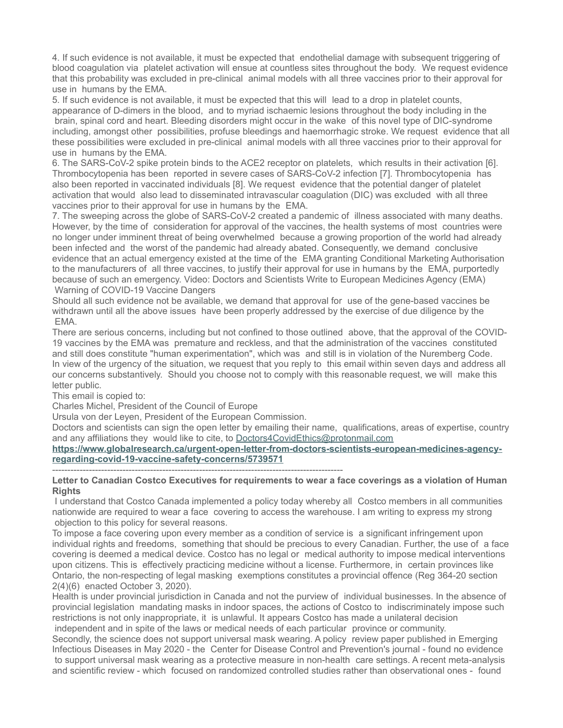4. If such evidence is not available, it must be expected that endothelial damage with subsequent triggering of blood coagulation via platelet activation will ensue at countless sites throughout the body. We request evidence that this probability was excluded in pre-clinical animal models with all three vaccines prior to their approval for use in humans by the EMA.

5. If such evidence is not available, it must be expected that this will lead to a drop in platelet counts, appearance of D-dimers in the blood, and to myriad ischaemic lesions throughout the body including in the brain, spinal cord and heart. Bleeding disorders might occur in the wake of this novel type of DIC-syndrome including, amongst other possibilities, profuse bleedings and haemorrhagic stroke. We request evidence that all these possibilities were excluded in pre-clinical animal models with all three vaccines prior to their approval for use in humans by the EMA.

6. The SARS-CoV-2 spike protein binds to the ACE2 receptor on platelets, which results in their activation [6]. Thrombocytopenia has been reported in severe cases of SARS-CoV-2 infection [7]. Thrombocytopenia has also been reported in vaccinated individuals [8]. We request evidence that the potential danger of platelet activation that would also lead to disseminated intravascular coagulation (DIC) was excluded with all three vaccines prior to their approval for use in humans by the EMA.

7. The sweeping across the globe of SARS-CoV-2 created a pandemic of illness associated with many deaths. However, by the time of consideration for approval of the vaccines, the health systems of most countries were no longer under imminent threat of being overwhelmed because a growing proportion of the world had already been infected and the worst of the pandemic had already abated. Consequently, we demand conclusive evidence that an actual emergency existed at the time of the EMA granting Conditional Marketing Authorisation to the manufacturers of all three vaccines, to justify their approval for use in humans by the EMA, purportedly because of such an emergency. Video: Doctors and Scientists Write to European Medicines Agency (EMA) Warning of COVID-19 Vaccine Dangers

Should all such evidence not be available, we demand that approval for use of the gene-based vaccines be withdrawn until all the above issues have been properly addressed by the exercise of due diligence by the EMA.

There are serious concerns, including but not confined to those outlined above, that the approval of the COVID-19 vaccines by the EMA was premature and reckless, and that the administration of the vaccines constituted and still does constitute "human experimentation", which was and still is in violation of the Nuremberg Code. In view of the urgency of the situation, we request that you reply to this email within seven days and address all our concerns substantively. Should you choose not to comply with this reasonable request, we will make this letter public.

This email is copied to:

Charles Michel, President of the Council of Europe

Ursula von der Leyen, President of the European Commission.

-----------------------------------------------------------------------------------------------

Doctors and scientists can sign the open letter by emailing their name, qualifications, areas of expertise, country and any affiliations they would like to cite, to [Doctors4CovidEthics@protonmail.com](mailto:Doctors4CovidEthics@protonmail.com)

**[https://www.globalresearch.ca/urgent-open-letter-from-doctors-scientists-european-medicines-agency](https://www.globalresearch.ca/urgent-open-letter-from-doctors-scientists-european-medicines-agency-regarding-covid-19-vaccine-safety-concerns/5739571)[regarding-covid-19-vaccine-safety-concerns/5739571](https://www.globalresearch.ca/urgent-open-letter-from-doctors-scientists-european-medicines-agency-regarding-covid-19-vaccine-safety-concerns/5739571)**

**Letter to Canadian Costco Executives for requirements to wear a face coverings as a violation of Human Rights**

I understand that Costco Canada implemented a policy today whereby all Costco members in all communities nationwide are required to wear a face covering to access the warehouse. I am writing to express my strong objection to this policy for several reasons.

To impose a face covering upon every member as a condition of service is a significant infringement upon individual rights and freedoms, something that should be precious to every Canadian. Further, the use of a face covering is deemed a medical device. Costco has no legal or medical authority to impose medical interventions upon citizens. This is effectively practicing medicine without a license. Furthermore, in certain provinces like Ontario, the non-respecting of legal masking exemptions constitutes a provincial offence (Reg 364-20 section 2(4)(6) enacted October 3, 2020).

Health is under provincial jurisdiction in Canada and not the purview of individual businesses. In the absence of provincial legislation mandating masks in indoor spaces, the actions of Costco to indiscriminately impose such restrictions is not only inappropriate, it is unlawful. It appears Costco has made a unilateral decision independent and in spite of the laws or medical needs of each particular province or community.

Secondly, the science does not support universal mask wearing. A policy review paper published in Emerging Infectious Diseases in May 2020 - the Center for Disease Control and Prevention's journal - found no evidence to support universal mask wearing as a protective measure in non-health care settings. A recent meta-analysis and scientific review - which focused on randomized controlled studies rather than observational ones - found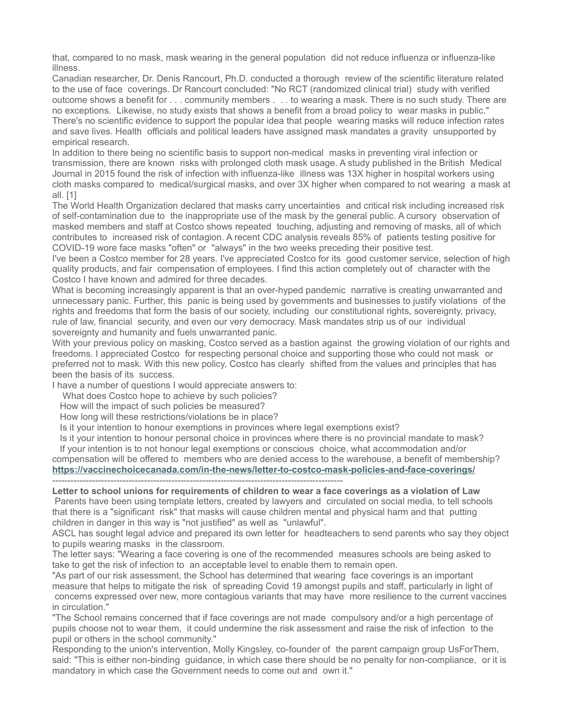that, compared to no mask, mask wearing in the general population did not reduce influenza or influenza-like illness.

Canadian researcher, Dr. Denis Rancourt, Ph.D. conducted a thorough review of the scientific literature related to the use of face coverings. Dr Rancourt concluded: "No RCT (randomized clinical trial) study with verified outcome shows a benefit for . . . community members . . . to wearing a mask. There is no such study. There are no exceptions. Likewise, no study exists that shows a benefit from a broad policy to wear masks in public." There's no scientific evidence to support the popular idea that people wearing masks will reduce infection rates and save lives. Health officials and political leaders have assigned mask mandates a gravity unsupported by empirical research.

In addition to there being no scientific basis to support non-medical masks in preventing viral infection or transmission, there are known risks with prolonged cloth mask usage. A study published in the British Medical Journal in 2015 found the risk of infection with influenza-like illness was 13X higher in hospital workers using cloth masks compared to medical/surgical masks, and over 3X higher when compared to not wearing a mask at all. [1]

The World Health Organization declared that masks carry uncertainties and critical risk including increased risk of self-contamination due to the inappropriate use of the mask by the general public. A cursory observation of masked members and staff at Costco shows repeated touching, adjusting and removing of masks, all of which contributes to increased risk of contagion. A recent CDC analysis reveals 85% of patients testing positive for COVID-19 wore face masks "often" or "always" in the two weeks preceding their positive test.

I've been a Costco member for 28 years. I've appreciated Costco for its good customer service, selection of high quality products, and fair compensation of employees. I find this action completely out of character with the Costco I have known and admired for three decades.

What is becoming increasingly apparent is that an over-hyped pandemic narrative is creating unwarranted and unnecessary panic. Further, this panic is being used by governments and businesses to justify violations of the rights and freedoms that form the basis of our society, including our constitutional rights, sovereignty, privacy, rule of law, financial security, and even our very democracy. Mask mandates strip us of our individual sovereignty and humanity and fuels unwarranted panic.

With your previous policy on masking, Costco served as a bastion against the growing violation of our rights and freedoms. I appreciated Costco for respecting personal choice and supporting those who could not mask or preferred not to mask. With this new policy, Costco has clearly shifted from the values and principles that has been the basis of its success.

I have a number of questions I would appreciate answers to:

What does Costco hope to achieve by such policies?

How will the impact of such policies be measured?

How long will these restrictions/violations be in place?

Is it your intention to honour exemptions in provinces where legal exemptions exist?

Is it your intention to honour personal choice in provinces where there is no provincial mandate to mask?

If your intention is to not honour legal exemptions or conscious choice, what accommodation and/or compensation will be offered to members who are denied access to the warehouse, a benefit of membership? **<https://vaccinechoicecanada.com/in-the-news/letter-to-costco-mask-policies-and-face-coverings/>** -----------------------------------------------------------------------------------------------

**Letter to school unions for requirements of children to wear a face coverings as a violation of Law** Parents have been using template letters, created by lawyers and circulated on social media, to tell schools that there is a "significant risk" that masks will cause children mental and physical harm and that putting children in danger in this way is "not justified" as well as "unlawful".

ASCL has sought legal advice and prepared its own letter for headteachers to send parents who say they object to pupils wearing masks in the classroom.

The letter says: "Wearing a face covering is one of the recommended measures schools are being asked to take to get the risk of infection to an acceptable level to enable them to remain open.

"As part of our risk assessment, the School has determined that wearing face coverings is an important measure that helps to mitigate the risk of spreading Covid 19 amongst pupils and staff, particularly in light of concerns expressed over new, more contagious variants that may have more resilience to the current vaccines in circulation."

"The School remains concerned that if face coverings are not made compulsory and/or a high percentage of pupils choose not to wear them, it could undermine the risk assessment and raise the risk of infection to the pupil or others in the school community."

Responding to the union's intervention, Molly Kingsley, co-founder of the parent campaign group UsForThem, said: "This is either non-binding guidance, in which case there should be no penalty for non-compliance, or it is mandatory in which case the Government needs to come out and own it."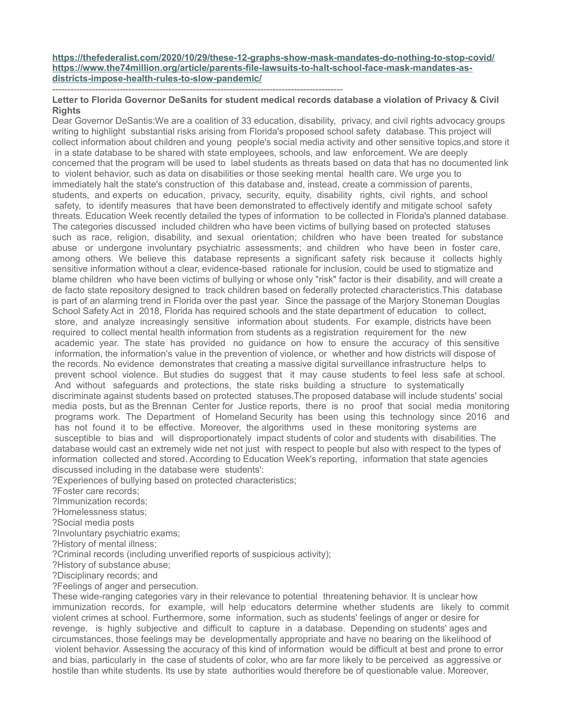## **<https://thefederalist.com/2020/10/29/these-12-graphs-show-mask-mandates-do-nothing-to-stop-covid/> [https://www.the74million.org/article/parents-file-lawsuits-to-halt-school-face-mask-mandates-as](https://www.the74million.org/article/parents-file-lawsuits-to-halt-school-face-mask-mandates-as-districts-impose-health-rules-to-slow-pandemic/)[districts-impose-health-rules-to-slow-pandemic/](https://www.the74million.org/article/parents-file-lawsuits-to-halt-school-face-mask-mandates-as-districts-impose-health-rules-to-slow-pandemic/)**

#### ----------------------------------------------------------------------------------------------- **Letter to Florida Governor DeSanits for student medical records database a violation of Privacy & Civil Rights**

Dear Governor DeSantis:We are a coalition of 33 education, disability, privacy, and civil rights advocacy groups writing to highlight substantial risks arising from Florida's proposed school safety database. This project will collect information about children and young people's social media activity and other sensitive topics,and store it in a state database to be shared with state employees, schools, and law enforcement. We are deeply concerned that the program will be used to label students as threats based on data that has no documented link to violent behavior, such as data on disabilities or those seeking mental health care. We urge you to immediately halt the state's construction of this database and, instead, create a commission of parents, students, and experts on education, privacy, security, equity, disability rights, civil rights, and school safety, to identify measures that have been demonstrated to effectively identify and mitigate school safety threats. Education Week recently detailed the types of information to be collected in Florida's planned database. The categories discussed included children who have been victims of bullying based on protected statuses such as race, religion, disability, and sexual orientation; children who have been treated for substance abuse or undergone involuntary psychiatric assessments; and children who have been in foster care, among others. We believe this database represents a significant safety risk because it collects highly sensitive information without a clear, evidence-based rationale for inclusion, could be used to stigmatize and blame children who have been victims of bullying or whose only "risk" factor is their disability, and will create a de facto state repository designed to track children based on federally protected characteristics.This database is part of an alarming trend in Florida over the past year. Since the passage of the Marjory Stoneman Douglas School Safety Act in 2018, Florida has required schools and the state department of education to collect, store, and analyze increasingly sensitive information about students. For example, districts have been required to collect mental health information from students as a registration requirement for the new academic year. The state has provided no guidance on how to ensure the accuracy of this sensitive information, the information's value in the prevention of violence, or whether and how districts will dispose of the records. No evidence demonstrates that creating a massive digital surveillance infrastructure helps to prevent school violence. But studies do suggest that it may cause students to feel less safe at school. And without safeguards and protections, the state risks building a structure to systematically discriminate against students based on protected statuses.The proposed database will include students' social media posts, but as the Brennan Center for Justice reports, there is no proof that social media monitoring programs work. The Department of Homeland Security has been using this technology since 2016 and has not found it to be effective. Moreover, the algorithms used in these monitoring systems are susceptible to bias and will disproportionately impact students of color and students with disabilities. The database would cast an extremely wide net not just with respect to people but also with respect to the types of information collected and stored. According to Education Week's reporting, information that state agencies discussed including in the database were students':

?Experiences of bullying based on protected characteristics;

?Foster care records;

?Immunization records;

?Homelessness status;

?Social media posts

?Involuntary psychiatric exams;

?History of mental illness;

?Criminal records (including unverified reports of suspicious activity);

?History of substance abuse;

?Disciplinary records; and

?Feelings of anger and persecution.

These wide-ranging categories vary in their relevance to potential threatening behavior. It is unclear how immunization records, for example, will help educators determine whether students are likely to commit violent crimes at school. Furthermore, some information, such as students' feelings of anger or desire for revenge, is highly subjective and difficult to capture in a database. Depending on students' ages and circumstances, those feelings may be developmentally appropriate and have no bearing on the likelihood of violent behavior. Assessing the accuracy of this kind of information would be difficult at best and prone to error and bias, particularly in the case of students of color, who are far more likely to be perceived as aggressive or hostile than white students. Its use by state authorities would therefore be of questionable value. Moreover,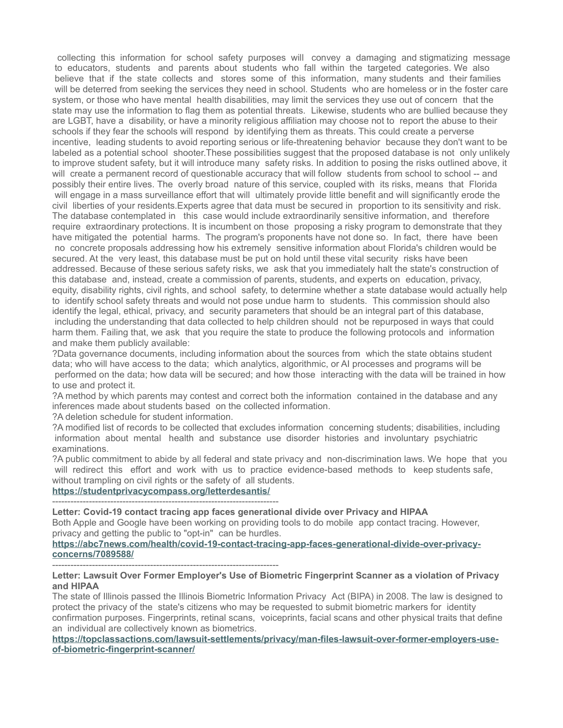collecting this information for school safety purposes will convey a damaging and stigmatizing message to educators, students and parents about students who fall within the targeted categories. We also believe that if the state collects and stores some of this information, many students and their families will be deterred from seeking the services they need in school. Students who are homeless or in the foster care system, or those who have mental health disabilities, may limit the services they use out of concern that the state may use the information to flag them as potential threats. Likewise, students who are bullied because they are LGBT, have a disability, or have a minority religious affiliation may choose not to report the abuse to their schools if they fear the schools will respond by identifying them as threats. This could create a perverse incentive, leading students to avoid reporting serious or life-threatening behavior because they don't want to be labeled as a potential school shooter.These possibilities suggest that the proposed database is not only unlikely to improve student safety, but it will introduce many safety risks. In addition to posing the risks outlined above, it will create a permanent record of questionable accuracy that will follow students from school to school -- and possibly their entire lives. The overly broad nature of this service, coupled with its risks, means that Florida will engage in a mass surveillance effort that will ultimately provide little benefit and will significantly erode the civil liberties of your residents.Experts agree that data must be secured in proportion to its sensitivity and risk. The database contemplated in this case would include extraordinarily sensitive information, and therefore require extraordinary protections. It is incumbent on those proposing a risky program to demonstrate that they have mitigated the potential harms. The program's proponents have not done so. In fact, there have been no concrete proposals addressing how his extremely sensitive information about Florida's children would be secured. At the very least, this database must be put on hold until these vital security risks have been addressed. Because of these serious safety risks, we ask that you immediately halt the state's construction of this database and, instead, create a commission of parents, students, and experts on education, privacy, equity, disability rights, civil rights, and school safety, to determine whether a state database would actually help to identify school safety threats and would not pose undue harm to students. This commission should also identify the legal, ethical, privacy, and security parameters that should be an integral part of this database, including the understanding that data collected to help children should not be repurposed in ways that could harm them. Failing that, we ask that you require the state to produce the following protocols and information and make them publicly available:

?Data governance documents, including information about the sources from which the state obtains student data; who will have access to the data; which analytics, algorithmic, or AI processes and programs will be performed on the data; how data will be secured; and how those interacting with the data will be trained in how to use and protect it.

?A method by which parents may contest and correct both the information contained in the database and any inferences made about students based on the collected information.

?A deletion schedule for student information.

?A modified list of records to be collected that excludes information concerning students; disabilities, including information about mental health and substance use disorder histories and involuntary psychiatric examinations.

?A public commitment to abide by all federal and state privacy and non-discrimination laws. We hope that you will redirect this effort and work with us to practice evidence-based methods to keep students safe, without trampling on civil rights or the safety of all students.

**<https://studentprivacycompass.org/letterdesantis/>** --------------------------------------------------------------------------

**Letter: Covid-19 contact tracing app faces generational divide over Privacy and HIPAA** Both Apple and Google have been working on providing tools to do mobile app contact tracing. However, privacy and getting the public to "opt-in" can be hurdles.

**[https://abc7news.com/health/covid-19-contact-tracing-app-faces-generational-divide-over-privacy](https://abc7news.com/health/covid-19-contact-tracing-app-faces-generational-divide-over-privacy-concerns/7089588/)[concerns/7089588/](https://abc7news.com/health/covid-19-contact-tracing-app-faces-generational-divide-over-privacy-concerns/7089588/)**

--------------------------------------------------------------------------

### **Letter: Lawsuit Over Former Employer's Use of Biometric Fingerprint Scanner as a violation of Privacy and HIPAA**

The state of Illinois passed the Illinois Biometric Information Privacy Act (BIPA) in 2008. The law is designed to protect the privacy of the state's citizens who may be requested to submit biometric markers for identity confirmation purposes. Fingerprints, retinal scans, voiceprints, facial scans and other physical traits that define an individual are collectively known as biometrics.

**[https://topclassactions.com/lawsuit-settlements/privacy/man-files-lawsuit-over-former-employers-use](https://topclassactions.com/lawsuit-settlements/privacy/man-files-lawsuit-over-former-employers-use-of-biometric-fingerprint-scanner/)[of-biometric-fingerprint-scanner/](https://topclassactions.com/lawsuit-settlements/privacy/man-files-lawsuit-over-former-employers-use-of-biometric-fingerprint-scanner/)**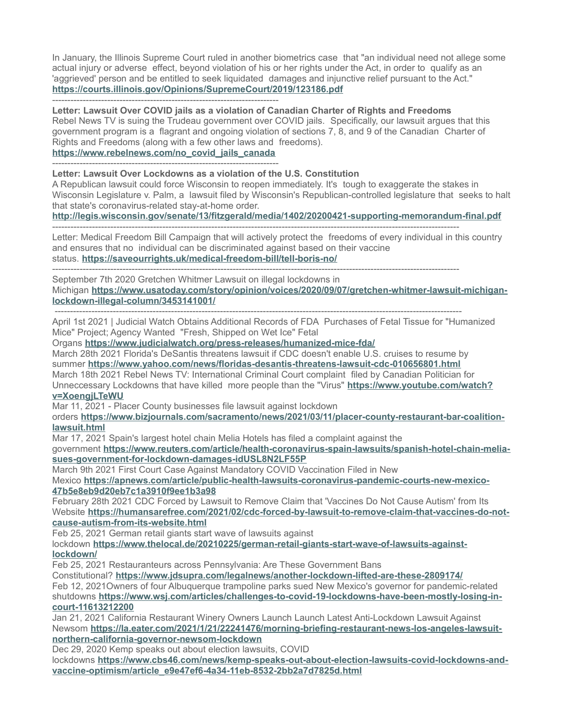In January, the Illinois Supreme Court ruled in another biometrics case that "an individual need not allege some actual injury or adverse effect, beyond violation of his or her rights under the Act, in order to qualify as an 'aggrieved' person and be entitled to seek liquidated damages and injunctive relief pursuant to the Act." **<https://courts.illinois.gov/Opinions/SupremeCourt/2019/123186.pdf>**

--------------------------------------------------------------------------

**Letter: Lawsuit Over COVID jails as a violation of Canadian Charter of Rights and Freedoms** Rebel News TV is suing the Trudeau government over COVID jails. Specifically, our lawsuit argues that this government program is a flagrant and ongoing violation of sections 7, 8, and 9 of the Canadian Charter of Rights and Freedoms (along with a few other laws and freedoms). **[https://www.rebelnews.com/no\\_covid\\_jails\\_canada](https://www.rebelnews.com/no_covid_jails_canada)**

--------------------------------------------------------------------------

**Letter: Lawsuit Over Lockdowns as a violation of the U.S. Constitution**

A Republican lawsuit could force Wisconsin to reopen immediately. It's tough to exaggerate the stakes in Wisconsin Legislature v. Palm, a lawsuit filed by Wisconsin's Republican-controlled legislature that seeks to halt that state's coronavirus-related stay-at-home order.

**<http://legis.wisconsin.gov/senate/13/fitzgerald/media/1402/20200421-supporting-memorandum-final.pdf>**

------------------------------------------------------------------------------------------------------------------------------------- Letter: Medical Freedom Bill Campaign that will actively protect the freedoms of every individual in this country and ensures that no individual can be discriminated against based on their vaccine status. **<https://saveourrights.uk/medical-freedom-bill/tell-boris-no/>**

-------------------------------------------------------------------------------------------------------------------------------------

September 7th 2020 Gretchen Whitmer Lawsuit on illegal lockdowns in Michigan **[https://www.usatoday.com/story/opinion/voices/2020/09/07/gretchen-whitmer-lawsuit-michigan](https://www.usatoday.com/story/opinion/voices/2020/09/07/gretchen-whitmer-lawsuit-michigan-lockdown-illegal-column/3453141001/)[lockdown-illegal-column/3453141001/](https://www.usatoday.com/story/opinion/voices/2020/09/07/gretchen-whitmer-lawsuit-michigan-lockdown-illegal-column/3453141001/)**

-------------------------------------------------------------------------------------------------------------------------------------

April 1st 2021 | Judicial Watch Obtains Additional Records of FDA Purchases of Fetal Tissue for "Humanized Mice" Project; Agency Wanted "Fresh, Shipped on Wet Ice" Fetal

Organs **<https://www.judicialwatch.org/press-releases/humanized-mice-fda/>**

March 28th 2021 Florida's DeSantis threatens lawsuit if CDC doesn't enable U.S. cruises to resume by summer **<https://www.yahoo.com/news/floridas-desantis-threatens-lawsuit-cdc-010656801.html>**

March 18th 2021 Rebel News TV: International Criminal Court complaint filed by Canadian Politician for Unneccessary Lockdowns that have killed more people than the "Virus" **[https://www.youtube.com/watch?](https://www.youtube.com/watch?v=XoengjLTeWU) [v=XoengjLTeWU](https://www.youtube.com/watch?v=XoengjLTeWU)**

Mar 11, 2021 - Placer County businesses file lawsuit against lockdown

orders **[https://www.bizjournals.com/sacramento/news/2021/03/11/placer-county-restaurant-bar-coalition](https://www.bizjournals.com/sacramento/news/2021/03/11/placer-county-restaurant-bar-coalition-lawsuit.html)[lawsuit.html](https://www.bizjournals.com/sacramento/news/2021/03/11/placer-county-restaurant-bar-coalition-lawsuit.html)**

Mar 17, 2021 Spain's largest hotel chain Melia Hotels has filed a complaint against the

government **[https://www.reuters.com/article/health-coronavirus-spain-lawsuits/spanish-hotel-chain-melia](https://www.reuters.com/article/health-coronavirus-spain-lawsuits/spanish-hotel-chain-melia-sues-government-for-lockdown-damages-idUSL8N2LF55P)[sues-government-for-lockdown-damages-idUSL8N2LF55P](https://www.reuters.com/article/health-coronavirus-spain-lawsuits/spanish-hotel-chain-melia-sues-government-for-lockdown-damages-idUSL8N2LF55P)**

March 9th 2021 First Court Case Against Mandatory COVID Vaccination Filed in New Mexico **[https://apnews.com/article/public-health-lawsuits-coronavirus-pandemic-courts-new-mexico-](https://apnews.com/article/public-health-lawsuits-coronavirus-pandemic-courts-new-mexico-47b5e8eb9d20eb7c1a3910f9ee1b3a98)**

### **[47b5e8eb9d20eb7c1a3910f9ee1b3a98](https://apnews.com/article/public-health-lawsuits-coronavirus-pandemic-courts-new-mexico-47b5e8eb9d20eb7c1a3910f9ee1b3a98)**

February 28th 2021 CDC Forced by Lawsuit to Remove Claim that 'Vaccines Do Not Cause Autism' from Its Website **[https://humansarefree.com/2021/02/cdc-forced-by-lawsuit-to-remove-claim-that-vaccines-do-not-](https://humansarefree.com/2021/02/cdc-forced-by-lawsuit-to-remove-claim-that-vaccines-do-not-cause-autism-from-its-website.html)**

### **[cause-autism-from-its-website.html](https://humansarefree.com/2021/02/cdc-forced-by-lawsuit-to-remove-claim-that-vaccines-do-not-cause-autism-from-its-website.html)**

Feb 25, 2021 German retail giants start wave of lawsuits against

lockdown **[https://www.thelocal.de/20210225/german-retail-giants-start-wave-of-lawsuits-against](https://www.thelocal.de/20210225/german-retail-giants-start-wave-of-lawsuits-against-lockdown/)[lockdown/](https://www.thelocal.de/20210225/german-retail-giants-start-wave-of-lawsuits-against-lockdown/)**

Feb 25, 2021 Restauranteurs across Pennsylvania: Are These Government Bans

Constitutional? **<https://www.jdsupra.com/legalnews/another-lockdown-lifted-are-these-2809174/>**

Feb 12, 2021Owners of four Albuquerque trampoline parks sued New Mexico's governor for pandemic-related shutdowns **[https://www.wsj.com/articles/challenges-to-covid-19-lockdowns-have-been-mostly-losing-in](https://www.wsj.com/articles/challenges-to-covid-19-lockdowns-have-been-mostly-losing-in-court-11613212200)[court-11613212200](https://www.wsj.com/articles/challenges-to-covid-19-lockdowns-have-been-mostly-losing-in-court-11613212200)**

Jan 21, 2021 California Restaurant Winery Owners Launch Launch Latest Anti-Lockdown Lawsuit Against Newsom **[https://la.eater.com/2021/1/21/22241476/morning-briefing-restaurant-news-los-angeles-lawsuit](https://la.eater.com/2021/1/21/22241476/morning-briefing-restaurant-news-los-angeles-lawsuit-northern-california-governor-newsom-lockdown)[northern-california-governor-newsom-lockdown](https://la.eater.com/2021/1/21/22241476/morning-briefing-restaurant-news-los-angeles-lawsuit-northern-california-governor-newsom-lockdown)**

Dec 29, 2020 Kemp speaks out about election lawsuits, COVID

lockdowns [https://www.cbs46.com/news/kemp-speaks-out-about-election-lawsuits-covid-lockdowns-and](https://www.cbs46.com/news/kemp-speaks-out-about-election-lawsuits-covid-lockdowns-and-vaccine-optimism/article_e9e47ef6-4a34-11eb-8532-2bb2a7d7825d.html)**[vaccine-optimism/article\\_e9e47ef6-4a34-11eb-8532-2bb2a7d7825d.html](https://www.cbs46.com/news/kemp-speaks-out-about-election-lawsuits-covid-lockdowns-and-vaccine-optimism/article_e9e47ef6-4a34-11eb-8532-2bb2a7d7825d.html)**